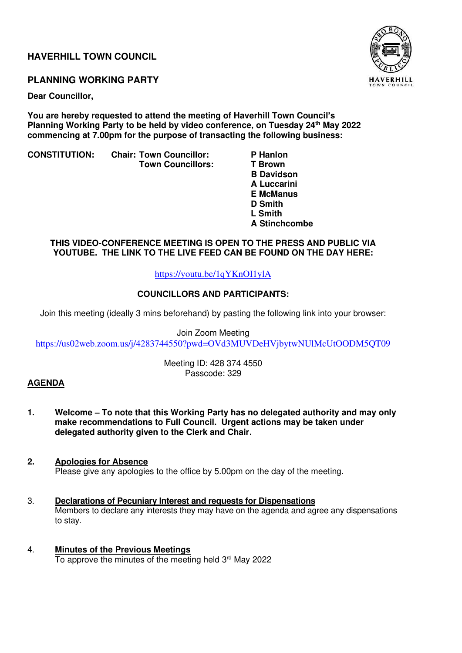## **HAVERHILL TOWN COUNCIL**

## **PLANNING WORKING PARTY**

**Dear Councillor,** 

**You are hereby requested to attend the meeting of Haverhill Town Council's Planning Working Party to be held by video conference, on Tuesday 24th May 2022 commencing at 7.00pm for the purpose of transacting the following business:** 

**CONSTITUTION: Chair: Town Councillor: P Hanlon** 

 **Town Councillors:** 

 **B Davidson A Luccarini E McManus D Smith**  *L* **Smith L** Smith  **A Stinchcombe** 

### **THIS VIDEO-CONFERENCE MEETING IS OPEN TO THE PRESS AND PUBLIC VIA YOUTUBE. THE LINK TO THE LIVE FEED CAN BE FOUND ON THE DAY HERE:**

## <https://youtu.be/1qYKnOI1ylA>

## **COUNCILLORS AND PARTICIPANTS:**

Join this meeting (ideally 3 mins beforehand) by pasting the following link into your browser:

Join Zoom Meeting <https://us02web.zoom.us/j/4283744550?pwd=OVd3MUVDeHVjbytwNUlMcUtOODM5QT09>

> Meeting ID: 428 374 4550 Passcode: 329

## **AGENDA**

- **1. Welcome – To note that this Working Party has no delegated authority and may only make recommendations to Full Council. Urgent actions may be taken under delegated authority given to the Clerk and Chair.**
- **2. Apologies for Absence**  Please give any apologies to the office by 5.00pm on the day of the meeting.
- 3. **Declarations of Pecuniary Interest and requests for Dispensations** Members to declare any interests they may have on the agenda and agree any dispensations to stay.
- 4. **Minutes of the Previous Meetings** To approve the minutes of the meeting held  $3<sup>rd</sup>$  May 2022

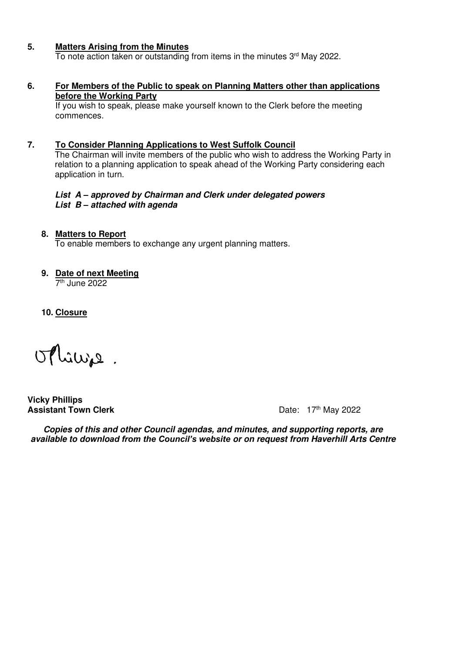### **5. Matters Arising from the Minutes**

 $\overline{10}$  note action taken or outstanding from items in the minutes  $3<sup>rd</sup>$  May 2022.

#### **6. For Members of the Public to speak on Planning Matters other than applications before the Working Party**

 If you wish to speak, please make yourself known to the Clerk before the meeting commences.

#### **7. To Consider Planning Applications to West Suffolk Council**

 The Chairman will invite members of the public who wish to address the Working Party in relation to a planning application to speak ahead of the Working Party considering each application in turn.

#### **List A** *–* **approved by Chairman and Clerk under delegated powers List B** *–* **attached with agenda**

#### **8. Matters to Report**

To enable members to exchange any urgent planning matters.

## **9. Date of next Meeting**

7 th June 2022

**10. Closure** 

othings.

**Vicky Phillips Assistant Town Clerk Contract Contract Contract Contract Contract Contract Contract Contract Contract Contract Contract Contract Contract Contract Contract Contract Contract Contract Contract Contract Contract Contract** 

**Copies of this and other Council agendas, and minutes, and supporting reports, are available to downlo***ad from the Council's website* **or on request from Haverhill Arts Centre**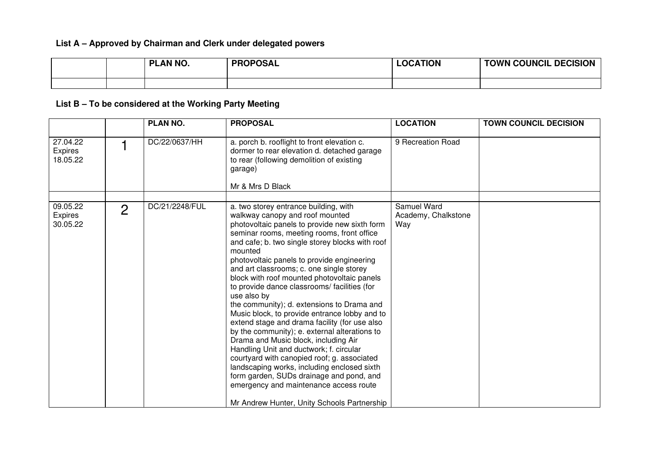## **List A – Approved by Chairman and Clerk under delegated powers**

|  | PLAN NO. | <b>PROPOSAL</b> | <b>LOCATION</b> | <b>TOWN COUNCIL DECISION</b> |
|--|----------|-----------------|-----------------|------------------------------|
|  |          |                 |                 |                              |

# **List B – To be considered at the Working Party Meeting**

|                                        |                | <b>PLAN NO.</b> | <b>PROPOSAL</b>                                                                                                                                                                                                                                                                                                                                                                                                                                                                                                                                                                                                                                                                                                                                                                                                                                                                                                                                                      | <b>LOCATION</b>                           | <b>TOWN COUNCIL DECISION</b> |
|----------------------------------------|----------------|-----------------|----------------------------------------------------------------------------------------------------------------------------------------------------------------------------------------------------------------------------------------------------------------------------------------------------------------------------------------------------------------------------------------------------------------------------------------------------------------------------------------------------------------------------------------------------------------------------------------------------------------------------------------------------------------------------------------------------------------------------------------------------------------------------------------------------------------------------------------------------------------------------------------------------------------------------------------------------------------------|-------------------------------------------|------------------------------|
| 27.04.22<br>Expires<br>18.05.22        |                | DC/22/0637/HH   | a. porch b. rooflight to front elevation c.<br>dormer to rear elevation d. detached garage<br>to rear (following demolition of existing<br>garage)<br>Mr & Mrs D Black                                                                                                                                                                                                                                                                                                                                                                                                                                                                                                                                                                                                                                                                                                                                                                                               | 9 Recreation Road                         |                              |
|                                        |                |                 |                                                                                                                                                                                                                                                                                                                                                                                                                                                                                                                                                                                                                                                                                                                                                                                                                                                                                                                                                                      |                                           |                              |
| 09.05.22<br><b>Expires</b><br>30.05.22 | $\overline{2}$ | DC/21/2248/FUL  | a. two storey entrance building, with<br>walkway canopy and roof mounted<br>photovoltaic panels to provide new sixth form<br>seminar rooms, meeting rooms, front office<br>and cafe; b. two single storey blocks with roof<br>mounted<br>photovoltaic panels to provide engineering<br>and art classrooms; c. one single storey<br>block with roof mounted photovoltaic panels<br>to provide dance classrooms/ facilities (for<br>use also by<br>the community); d. extensions to Drama and<br>Music block, to provide entrance lobby and to<br>extend stage and drama facility (for use also<br>by the community); e. external alterations to<br>Drama and Music block, including Air<br>Handling Unit and ductwork; f. circular<br>courtyard with canopied roof; g. associated<br>landscaping works, including enclosed sixth<br>form garden, SUDs drainage and pond, and<br>emergency and maintenance access route<br>Mr Andrew Hunter, Unity Schools Partnership | Samuel Ward<br>Academy, Chalkstone<br>Way |                              |